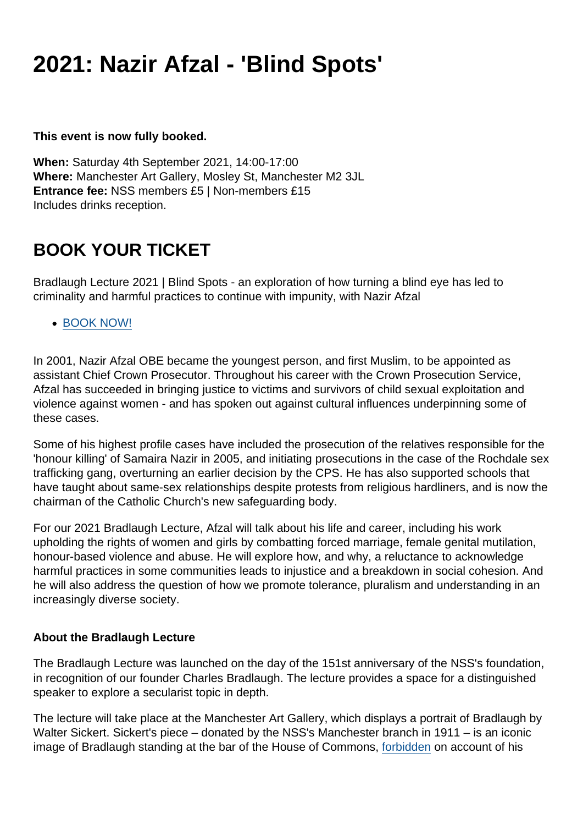## 2021: Nazir Afzal - 'Blind Spots'

This event is now fully booked.

When: Saturday 4th September 2021, 14:00-17:00 Where: Manchester Art Gallery, Mosley St, Manchester M2 3JL Entrance fee: NSS members £5 | Non-members £15 Includes drinks reception.

## BOOK YOUR TICKET

Bradlaugh Lecture 2021 | Blind Spots - an exploration of how turning a blind eye has led to criminality and harmful practices to continue with impunity, with Nazir Afzal

[BOOK NOW!](https://civi.secularism.org.uk/civicrm/event/register?id=28&reset=1)

In 2001, Nazir Afzal OBE became the youngest person, and first Muslim, to be appointed as assistant Chief Crown Prosecutor. Throughout his career with the Crown Prosecution Service, Afzal has succeeded in bringing justice to victims and survivors of child sexual exploitation and violence against women - and has spoken out against cultural influences underpinning some of these cases.

Some of his highest profile cases have included the prosecution of the relatives responsible for the 'honour killing' of Samaira Nazir in 2005, and initiating prosecutions in the case of the Rochdale sex trafficking gang, overturning an earlier decision by the CPS. He has also supported schools that have taught about same-sex relationships despite protests from religious hardliners, and is now the chairman of the Catholic Church's new safeguarding body.

For our 2021 Bradlaugh Lecture, Afzal will talk about his life and career, including his work upholding the rights of women and girls by combatting forced marriage, female genital mutilation, honour-based violence and abuse. He will explore how, and why, a reluctance to acknowledge harmful practices in some communities leads to injustice and a breakdown in social cohesion. And he will also address the question of how we promote tolerance, pluralism and understanding in an increasingly diverse society.

## About the Bradlaugh Lecture

The Bradlaugh Lecture was launched on the day of the 151st anniversary of the NSS's foundation, in recognition of our founder Charles Bradlaugh. The lecture provides a space for a distinguished speaker to explore a secularist topic in depth.

The lecture will take place at the Manchester Art Gallery, which displays a portrait of Bradlaugh by Walter Sickert. Sickert's piece – donated by the NSS's Manchester branch in 1911 – is an iconic image of Bradlaugh standing at the bar of the House of Commons, [forbidden](https://www.secularism.org.uk/bradlaughs-struggle-to-enter-par.html) on account of his